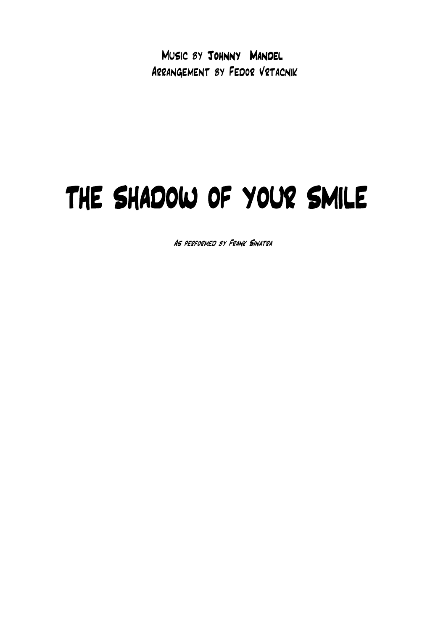Music by Johnny Mandel Arrangement by Fedor Vrtacnik

## THE SHADOW OF YOUR SMILE

As performed by Frank Sinatra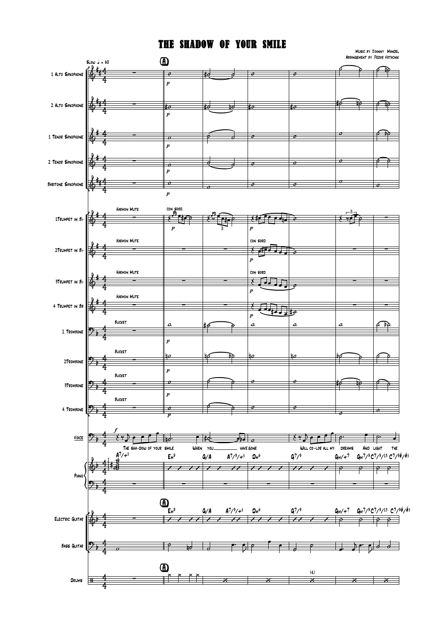## THE SHAdOW OF YOUR SMIlE